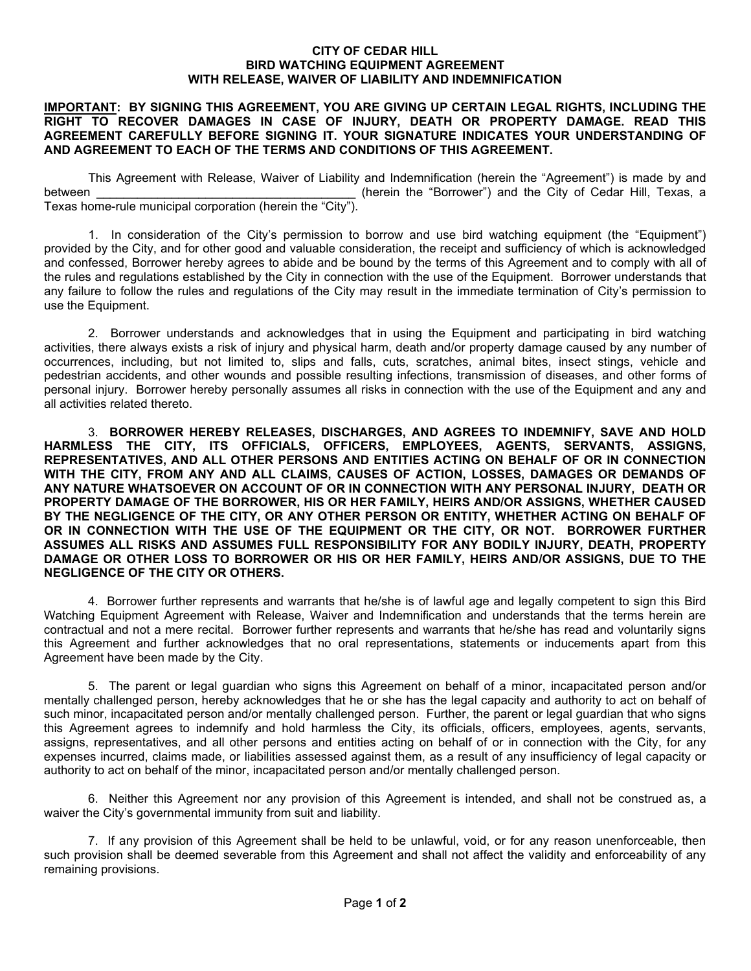## **CITY OF CEDAR HILL BIRD WATCHING EQUIPMENT AGREEMENT WITH RELEASE, WAIVER OF LIABILITY AND INDEMNIFICATION**

## **IMPORTANT: BY SIGNING THIS AGREEMENT, YOU ARE GIVING UP CERTAIN LEGAL RIGHTS, INCLUDING THE RIGHT TO RECOVER DAMAGES IN CASE OF INJURY, DEATH OR PROPERTY DAMAGE. READ THIS AGREEMENT CAREFULLY BEFORE SIGNING IT. YOUR SIGNATURE INDICATES YOUR UNDERSTANDING OF AND AGREEMENT TO EACH OF THE TERMS AND CONDITIONS OF THIS AGREEMENT.**

This Agreement with Release, Waiver of Liability and Indemnification (herein the "Agreement") is made by and between **Example 2** (herein the "Borrower") and the City of Cedar Hill, Texas, a Texas home-rule municipal corporation (herein the "City").

1. In consideration of the City's permission to borrow and use bird watching equipment (the "Equipment") provided by the City, and for other good and valuable consideration, the receipt and sufficiency of which is acknowledged and confessed, Borrower hereby agrees to abide and be bound by the terms of this Agreement and to comply with all of the rules and regulations established by the City in connection with the use of the Equipment. Borrower understands that any failure to follow the rules and regulations of the City may result in the immediate termination of City's permission to use the Equipment.

2. Borrower understands and acknowledges that in using the Equipment and participating in bird watching activities, there always exists a risk of injury and physical harm, death and/or property damage caused by any number of occurrences, including, but not limited to, slips and falls, cuts, scratches, animal bites, insect stings, vehicle and pedestrian accidents, and other wounds and possible resulting infections, transmission of diseases, and other forms of personal injury. Borrower hereby personally assumes all risks in connection with the use of the Equipment and any and all activities related thereto.

3. **BORROWER HEREBY RELEASES, DISCHARGES, AND AGREES TO INDEMNIFY, SAVE AND HOLD HARMLESS THE CITY, ITS OFFICIALS, OFFICERS, EMPLOYEES, AGENTS, SERVANTS, ASSIGNS, REPRESENTATIVES, AND ALL OTHER PERSONS AND ENTITIES ACTING ON BEHALF OF OR IN CONNECTION WITH THE CITY, FROM ANY AND ALL CLAIMS, CAUSES OF ACTION, LOSSES, DAMAGES OR DEMANDS OF ANY NATURE WHATSOEVER ON ACCOUNT OF OR IN CONNECTION WITH ANY PERSONAL INJURY, DEATH OR PROPERTY DAMAGE OF THE BORROWER, HIS OR HER FAMILY, HEIRS AND/OR ASSIGNS, WHETHER CAUSED BY THE NEGLIGENCE OF THE CITY, OR ANY OTHER PERSON OR ENTITY, WHETHER ACTING ON BEHALF OF OR IN CONNECTION WITH THE USE OF THE EQUIPMENT OR THE CITY, OR NOT. BORROWER FURTHER ASSUMES ALL RISKS AND ASSUMES FULL RESPONSIBILITY FOR ANY BODILY INJURY, DEATH, PROPERTY DAMAGE OR OTHER LOSS TO BORROWER OR HIS OR HER FAMILY, HEIRS AND/OR ASSIGNS, DUE TO THE NEGLIGENCE OF THE CITY OR OTHERS.** 

4. Borrower further represents and warrants that he/she is of lawful age and legally competent to sign this Bird Watching Equipment Agreement with Release, Waiver and Indemnification and understands that the terms herein are contractual and not a mere recital. Borrower further represents and warrants that he/she has read and voluntarily signs this Agreement and further acknowledges that no oral representations, statements or inducements apart from this Agreement have been made by the City.

5. The parent or legal guardian who signs this Agreement on behalf of a minor, incapacitated person and/or mentally challenged person, hereby acknowledges that he or she has the legal capacity and authority to act on behalf of such minor, incapacitated person and/or mentally challenged person. Further, the parent or legal guardian that who signs this Agreement agrees to indemnify and hold harmless the City, its officials, officers, employees, agents, servants, assigns, representatives, and all other persons and entities acting on behalf of or in connection with the City, for any expenses incurred, claims made, or liabilities assessed against them, as a result of any insufficiency of legal capacity or authority to act on behalf of the minor, incapacitated person and/or mentally challenged person.

6. Neither this Agreement nor any provision of this Agreement is intended, and shall not be construed as, a waiver the City's governmental immunity from suit and liability.

7. If any provision of this Agreement shall be held to be unlawful, void, or for any reason unenforceable, then such provision shall be deemed severable from this Agreement and shall not affect the validity and enforceability of any remaining provisions.